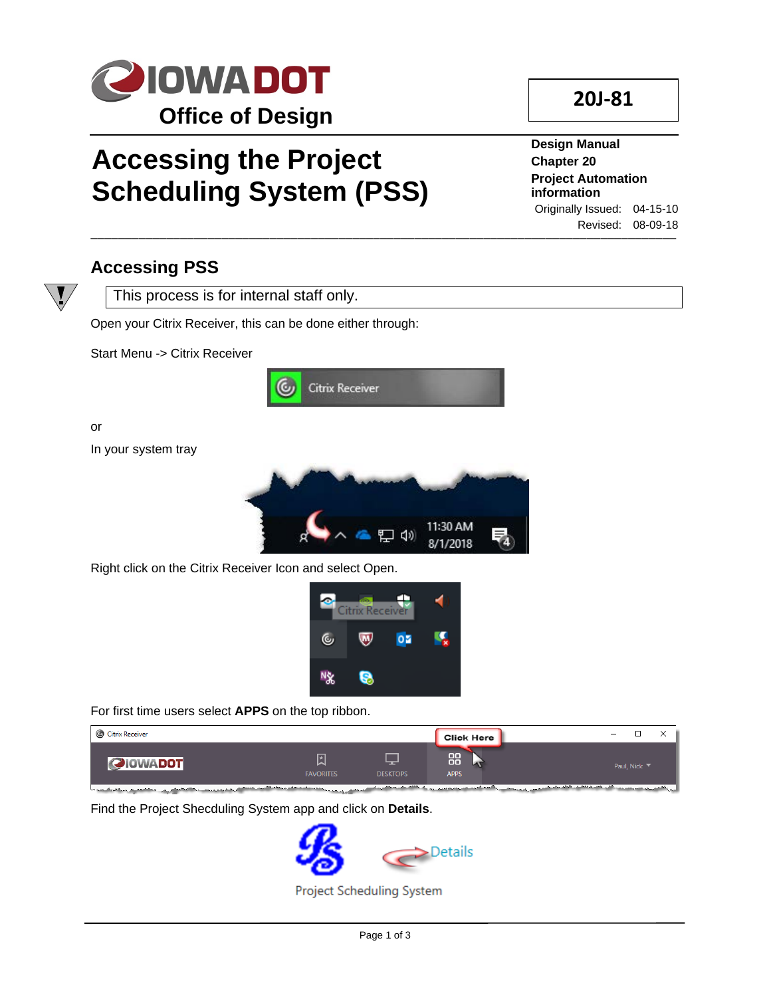

# **Accessing the Project Scheduling System (PSS)**

#### \_\_\_\_\_\_\_\_\_\_\_\_\_\_\_\_\_\_\_\_\_\_\_\_\_\_\_\_\_\_\_\_\_\_\_\_\_\_\_\_\_\_\_\_\_\_\_\_\_\_\_\_\_\_\_\_\_\_\_\_\_\_\_\_\_\_\_\_\_\_\_\_\_\_\_\_\_\_\_\_\_\_\_\_\_ **Design Manual Chapter 20 Project Automation information** Originally Issued: 04-15-10 Revised: 08-09-18

**20J-81**

### **Accessing PSS**



This process is for internal staff only.

Open your Citrix Receiver, this can be done either through:

Start Menu -> Citrix Receiver



or In your system tray



Right click on the Citrix Receiver Icon and select Open.



For first time users select **APPS** on the top ribbon.



Find the Project Shecduling System app and click on **Details**.

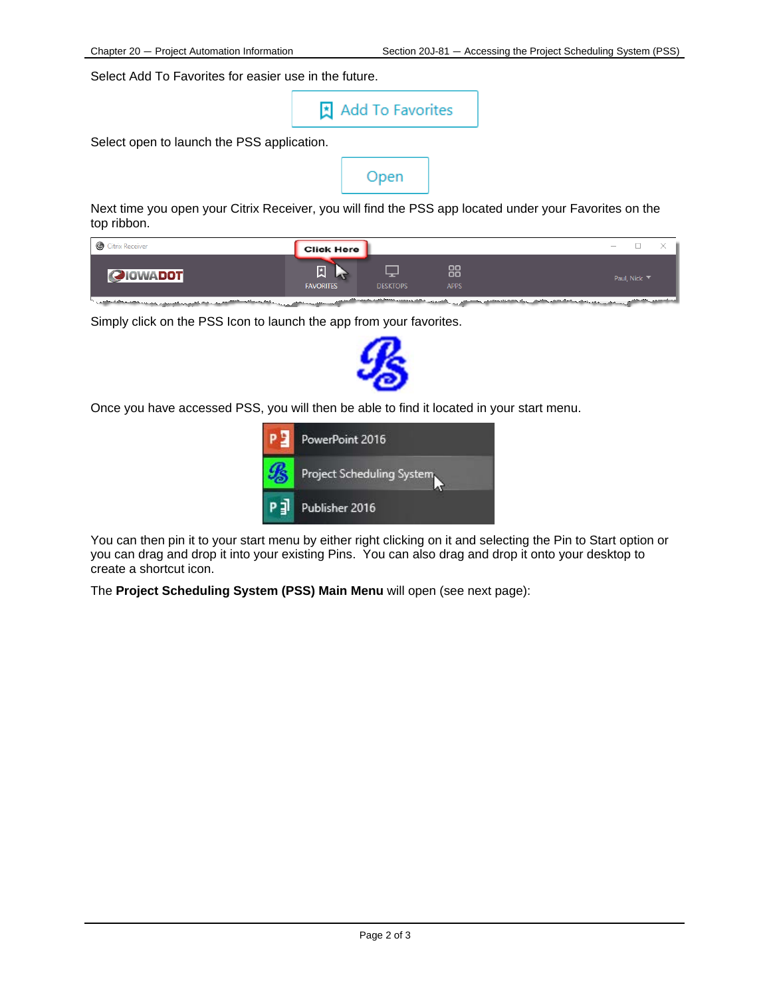Select Add To Favorites for easier use in the future.

Add To Favorites

Select open to launch the PSS application.

Open

Next time you open your Citrix Receiver, you will find the PSS app located under your Favorites on the top ribbon.

| Citrix Receiver | Click Here            |                 |                   | ٠<br>$-$     |
|-----------------|-----------------------|-----------------|-------------------|--------------|
| <b>QIOWADOT</b> | 圆<br><b>FAVORITES</b> | <b>DESKTOPS</b> | 88<br><b>APPS</b> | Paul, Nick ▼ |
|                 |                       |                 |                   |              |

Simply click on the PSS Icon to launch the app from your favorites.



Once you have accessed PSS, you will then be able to find it located in your start menu.



You can then pin it to your start menu by either right clicking on it and selecting the Pin to Start option or you can drag and drop it into your existing Pins. You can also drag and drop it onto your desktop to create a shortcut icon.

The **Project Scheduling System (PSS) Main Menu** will open (see next page):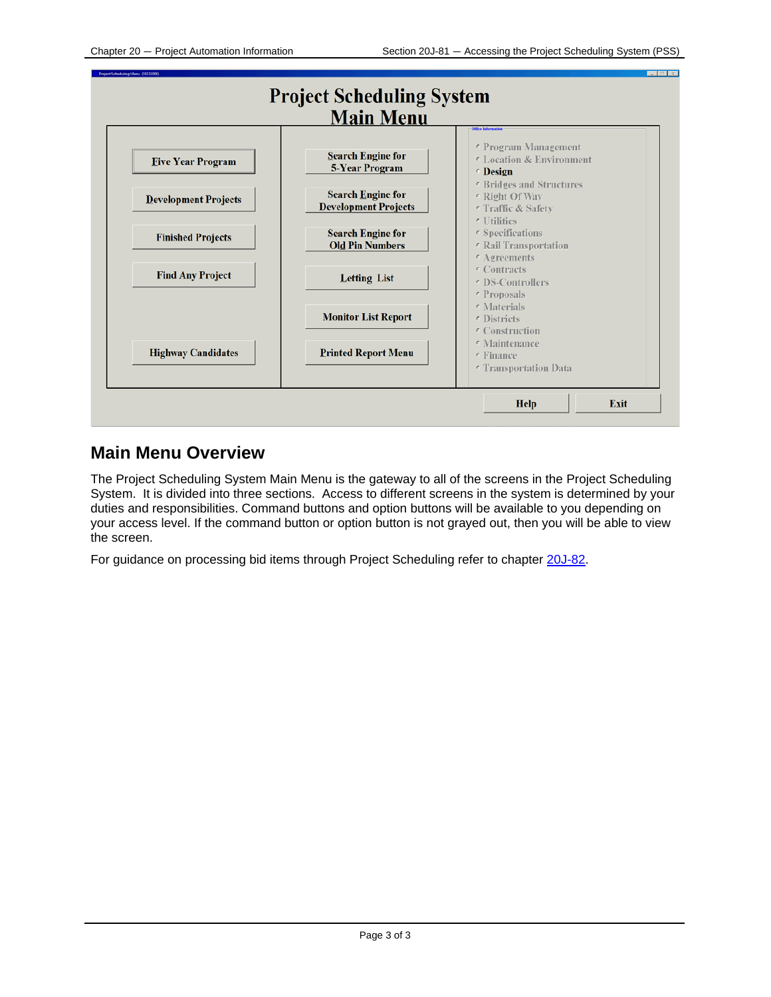

#### **Main Menu Overview**

The Project Scheduling System Main Menu is the gateway to all of the screens in the Project Scheduling System. It is divided into three sections. Access to different screens in the system is determined by your duties and responsibilities. Command buttons and option buttons will be available to you depending on your access level. If the command button or option button is not grayed out, then you will be able to view the screen.

For guidance on processing bid items through Project Scheduling refer to chapter 20J-82.